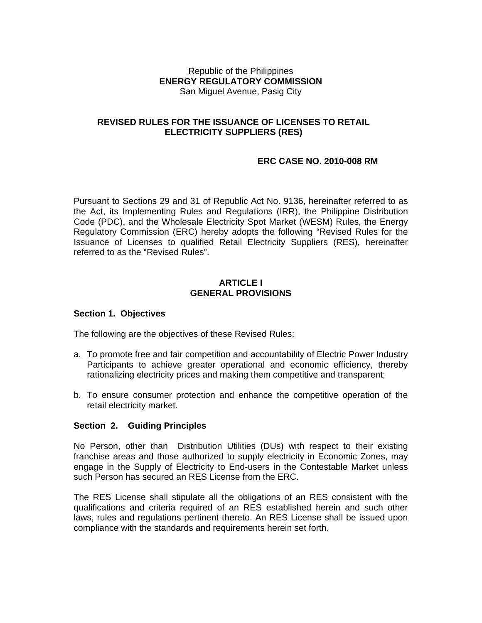#### Republic of the Philippines **ENERGY REGULATORY COMMISSION**  San Miguel Avenue, Pasig City

### **REVISED RULES FOR THE ISSUANCE OF LICENSES TO RETAIL ELECTRICITY SUPPLIERS (RES)**

## **ERC CASE NO. 2010-008 RM**

Pursuant to Sections 29 and 31 of Republic Act No. 9136, hereinafter referred to as the Act, its Implementing Rules and Regulations (IRR), the Philippine Distribution Code (PDC), and the Wholesale Electricity Spot Market (WESM) Rules, the Energy Regulatory Commission (ERC) hereby adopts the following "Revised Rules for the Issuance of Licenses to qualified Retail Electricity Suppliers (RES), hereinafter referred to as the "Revised Rules".

#### **ARTICLE I GENERAL PROVISIONS**

#### **Section 1. Objectives**

The following are the objectives of these Revised Rules:

- a. To promote free and fair competition and accountability of Electric Power Industry Participants to achieve greater operational and economic efficiency, thereby rationalizing electricity prices and making them competitive and transparent;
- b. To ensure consumer protection and enhance the competitive operation of the retail electricity market.

#### **Section 2. Guiding Principles**

No Person, other than Distribution Utilities (DUs) with respect to their existing franchise areas and those authorized to supply electricity in Economic Zones, may engage in the Supply of Electricity to End-users in the Contestable Market unless such Person has secured an RES License from the ERC.

The RES License shall stipulate all the obligations of an RES consistent with the qualifications and criteria required of an RES established herein and such other laws, rules and regulations pertinent thereto. An RES License shall be issued upon compliance with the standards and requirements herein set forth.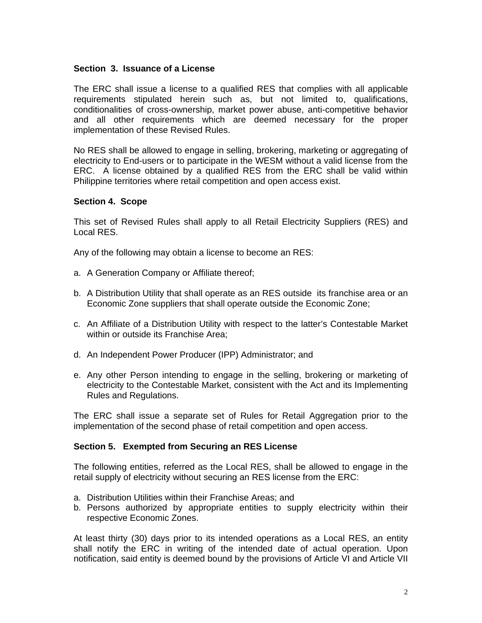#### **Section 3. Issuance of a License**

The ERC shall issue a license to a qualified RES that complies with all applicable requirements stipulated herein such as, but not limited to, qualifications, conditionalities of cross-ownership, market power abuse, anti-competitive behavior and all other requirements which are deemed necessary for the proper implementation of these Revised Rules.

No RES shall be allowed to engage in selling, brokering, marketing or aggregating of electricity to End-users or to participate in the WESM without a valid license from the ERC. A license obtained by a qualified RES from the ERC shall be valid within Philippine territories where retail competition and open access exist.

## **Section 4. Scope**

This set of Revised Rules shall apply to all Retail Electricity Suppliers (RES) and Local RES.

Any of the following may obtain a license to become an RES:

- a. A Generation Company or Affiliate thereof;
- b. A Distribution Utility that shall operate as an RES outside its franchise area or an Economic Zone suppliers that shall operate outside the Economic Zone;
- c. An Affiliate of a Distribution Utility with respect to the latter's Contestable Market within or outside its Franchise Area;
- d. An Independent Power Producer (IPP) Administrator; and
- e. Any other Person intending to engage in the selling, brokering or marketing of electricity to the Contestable Market, consistent with the Act and its Implementing Rules and Regulations.

The ERC shall issue a separate set of Rules for Retail Aggregation prior to the implementation of the second phase of retail competition and open access.

## **Section 5. Exempted from Securing an RES License**

The following entities, referred as the Local RES, shall be allowed to engage in the retail supply of electricity without securing an RES license from the ERC:

- a. Distribution Utilities within their Franchise Areas; and
- b. Persons authorized by appropriate entities to supply electricity within their respective Economic Zones.

At least thirty (30) days prior to its intended operations as a Local RES, an entity shall notify the ERC in writing of the intended date of actual operation. Upon notification, said entity is deemed bound by the provisions of Article VI and Article VII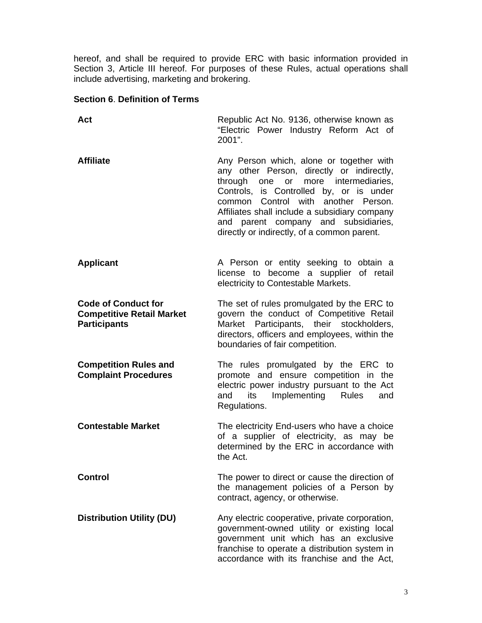hereof, and shall be required to provide ERC with basic information provided in Section 3, Article III hereof. For purposes of these Rules, actual operations shall include advertising, marketing and brokering.

## **Section 6**. **Definition of Terms**

| Act                                                                                   | Republic Act No. 9136, otherwise known as<br>"Electric Power Industry Reform Act of<br>2001".                                                                                                                                                                                                                                                                         |
|---------------------------------------------------------------------------------------|-----------------------------------------------------------------------------------------------------------------------------------------------------------------------------------------------------------------------------------------------------------------------------------------------------------------------------------------------------------------------|
| <b>Affiliate</b>                                                                      | Any Person which, alone or together with<br>any other Person, directly or indirectly,<br>more intermediaries,<br>through<br>or<br>one<br>Controls, is Controlled by, or is under<br>Control<br>with another Person.<br>common<br>Affiliates shall include a subsidiary company<br>and parent company and subsidiaries,<br>directly or indirectly, of a common parent. |
| <b>Applicant</b>                                                                      | A Person or entity seeking to obtain a<br>license to become a supplier of retail<br>electricity to Contestable Markets.                                                                                                                                                                                                                                               |
| <b>Code of Conduct for</b><br><b>Competitive Retail Market</b><br><b>Participants</b> | The set of rules promulgated by the ERC to<br>govern the conduct of Competitive Retail<br>Participants, their stockholders,<br>Market<br>directors, officers and employees, within the<br>boundaries of fair competition.                                                                                                                                             |
| <b>Competition Rules and</b><br><b>Complaint Procedures</b>                           | The rules promulgated by the ERC to<br>promote and ensure competition in the<br>electric power industry pursuant to the Act<br>its Implementing Rules<br>and<br>and<br>Regulations.                                                                                                                                                                                   |
| <b>Contestable Market</b>                                                             | The electricity End-users who have a choice<br>of a supplier of electricity, as may be<br>determined by the ERC in accordance with<br>the Act.                                                                                                                                                                                                                        |
| <b>Control</b>                                                                        | The power to direct or cause the direction of<br>the management policies of a Person by<br>contract, agency, or otherwise.                                                                                                                                                                                                                                            |
| <b>Distribution Utility (DU)</b>                                                      | Any electric cooperative, private corporation,<br>government-owned utility or existing local<br>government unit which has an exclusive<br>franchise to operate a distribution system in<br>accordance with its franchise and the Act,                                                                                                                                 |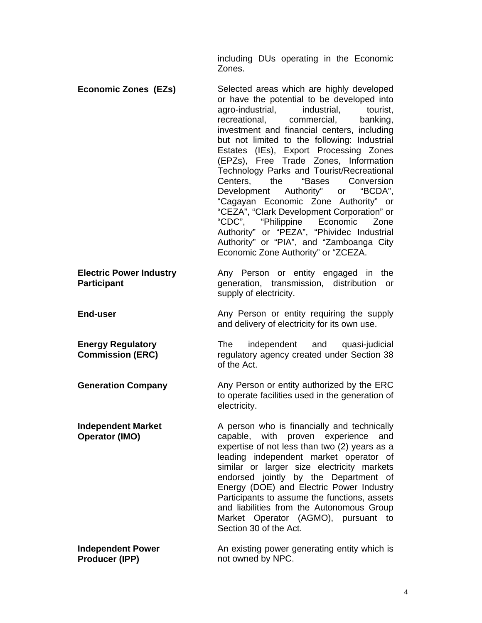including DUs operating in the Economic Zones.

**Economic Zones (EZs)** Selected areas which are highly developed or have the potential to be developed into agro-industrial, industrial, tourist, recreational, commercial, banking, investment and financial centers, including but not limited to the following: Industrial Estates (IEs), Export Processing Zones (EPZs), Free Trade Zones, Information Technology Parks and Tourist/Recreational Centers, the "Bases Conversion Development Authority" or "BCDA", "Cagayan Economic Zone Authority" or "CEZA", "Clark Development Corporation" or "CDC", "Philippine Economic Zone Authority" or "PEZA", "Phividec Industrial Authority" or "PIA", and "Zamboanga City Economic Zone Authority" or "ZCEZA. **Electric Power Industry Participant**  Any Person or entity engaged in the generation, transmission, distribution or supply of electricity.

**End-user Any Person or entity requiring the supply** 

**Energy Regulatory Commission (ERC)** 

**Independent Market Operator (IMO)** 

and delivery of electricity for its own use.

The independent and quasi-judicial regulatory agency created under Section 38 of the Act.

**Generation Company Any Person or entity authorized by the ERC** to operate facilities used in the generation of electricity.

> A person who is financially and technically capable, with proven experience and expertise of not less than two (2) years as a leading independent market operator of similar or larger size electricity markets endorsed jointly by the Department of Energy (DOE) and Electric Power Industry Participants to assume the functions, assets and liabilities from the Autonomous Group Market Operator (AGMO), pursuant to Section 30 of the Act.

**Independent Power Producer (IPP)**  An existing power generating entity which is not owned by NPC.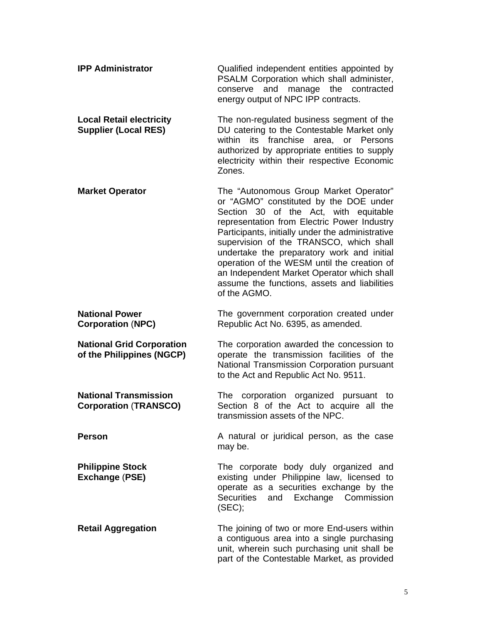| <b>IPP Administrator</b>                                       | Qualified independent entities appointed by<br>PSALM Corporation which shall administer,<br>and<br>manage the<br>contracted<br>conserve<br>energy output of NPC IPP contracts.                                                                                                                                                                                                                                                                                                     |
|----------------------------------------------------------------|------------------------------------------------------------------------------------------------------------------------------------------------------------------------------------------------------------------------------------------------------------------------------------------------------------------------------------------------------------------------------------------------------------------------------------------------------------------------------------|
| <b>Local Retail electricity</b><br><b>Supplier (Local RES)</b> | The non-regulated business segment of the<br>DU catering to the Contestable Market only<br>franchise<br>within<br>its<br>area, or Persons<br>authorized by appropriate entities to supply<br>electricity within their respective Economic<br>Zones.                                                                                                                                                                                                                                |
| <b>Market Operator</b>                                         | The "Autonomous Group Market Operator"<br>or "AGMO" constituted by the DOE under<br>Section 30 of the Act, with equitable<br>representation from Electric Power Industry<br>Participants, initially under the administrative<br>supervision of the TRANSCO, which shall<br>undertake the preparatory work and initial<br>operation of the WESM until the creation of<br>an Independent Market Operator which shall<br>assume the functions, assets and liabilities<br>of the AGMO. |
| <b>National Power</b><br><b>Corporation (NPC)</b>              | The government corporation created under<br>Republic Act No. 6395, as amended.                                                                                                                                                                                                                                                                                                                                                                                                     |
| <b>National Grid Corporation</b><br>of the Philippines (NGCP)  | The corporation awarded the concession to<br>operate the transmission facilities of the<br>National Transmission Corporation pursuant<br>to the Act and Republic Act No. 9511.                                                                                                                                                                                                                                                                                                     |
| <b>National Transmission</b><br><b>Corporation (TRANSCO)</b>   | The corporation organized<br>pursuant<br>to<br>Section 8 of the Act to acquire all the<br>transmission assets of the NPC.                                                                                                                                                                                                                                                                                                                                                          |
| <b>Person</b>                                                  | A natural or juridical person, as the case<br>may be.                                                                                                                                                                                                                                                                                                                                                                                                                              |
| <b>Philippine Stock</b><br>Exchange (PSE)                      | The corporate body duly organized and<br>existing under Philippine law, licensed to<br>operate as a securities exchange by the<br><b>Securities</b><br>and Exchange Commission<br>(SEC);                                                                                                                                                                                                                                                                                           |
| <b>Retail Aggregation</b>                                      | The joining of two or more End-users within<br>a contiguous area into a single purchasing<br>unit, wherein such purchasing unit shall be<br>part of the Contestable Market, as provided                                                                                                                                                                                                                                                                                            |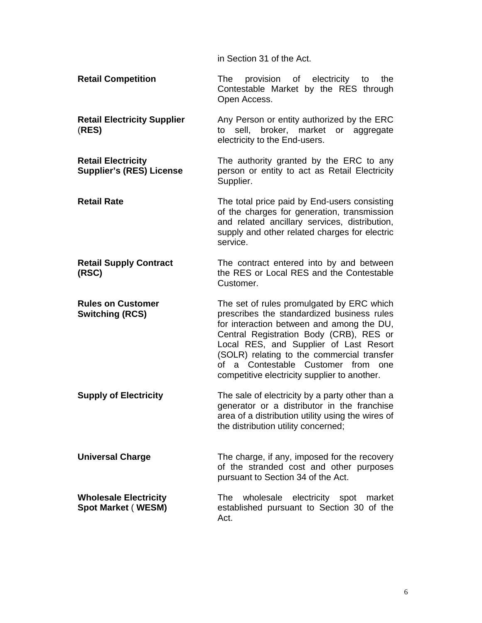in Section 31 of the Act.

**Retail Competition** The provision of electricity to the Contestable Market by the RES through Open Access.

**Retail Electricity Supplier**  (**RES)**  Any Person or entity authorized by the ERC to sell, broker, market or aggregate electricity to the End-users.

**Retail Electricity Supplier's (RES) License**  The authority granted by the ERC to any person or entity to act as Retail Electricity Supplier.

**Retail Rate The total price paid by End-users consisting** of the charges for generation, transmission and related ancillary services, distribution, supply and other related charges for electric service.

**Retail Supply Contract (RSC)**  The contract entered into by and between the RES or Local RES and the Contestable Customer.

**Rules on Customer Switching (RCS)**  The set of rules promulgated by ERC which prescribes the standardized business rules for interaction between and among the DU, Central Registration Body (CRB), RES or Local RES, and Supplier of Last Resort (SOLR) relating to the commercial transfer of a Contestable Customer from one competitive electricity supplier to another.

**Supply of Electricity** The sale of electricity by a party other than a generator or a distributor in the franchise area of a distribution utility using the wires of the distribution utility concerned;

**Universal Charge** The charge, if any, imposed for the recovery of the stranded cost and other purposes pursuant to Section 34 of the Act.

**Wholesale Electricity Spot Market** ( **WESM)**  The wholesale electricity spot market established pursuant to Section 30 of the Act.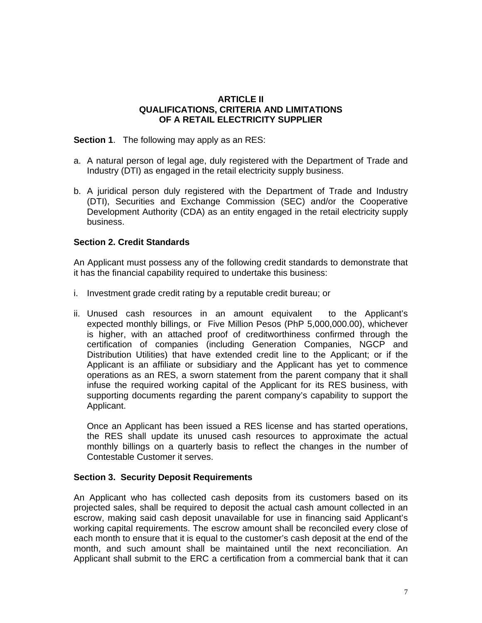## **ARTICLE II QUALIFICATIONS, CRITERIA AND LIMITATIONS OF A RETAIL ELECTRICITY SUPPLIER**

**Section 1**. The following may apply as an RES:

- a. A natural person of legal age, duly registered with the Department of Trade and Industry (DTI) as engaged in the retail electricity supply business.
- b. A juridical person duly registered with the Department of Trade and Industry (DTI), Securities and Exchange Commission (SEC) and/or the Cooperative Development Authority (CDA) as an entity engaged in the retail electricity supply business.

## **Section 2. Credit Standards**

An Applicant must possess any of the following credit standards to demonstrate that it has the financial capability required to undertake this business:

- i. Investment grade credit rating by a reputable credit bureau; or
- ii. Unused cash resources in an amount equivalent to the Applicant's expected monthly billings, or Five Million Pesos (PhP 5,000,000.00), whichever is higher, with an attached proof of creditworthiness confirmed through the certification of companies (including Generation Companies, NGCP and Distribution Utilities) that have extended credit line to the Applicant; or if the Applicant is an affiliate or subsidiary and the Applicant has yet to commence operations as an RES, a sworn statement from the parent company that it shall infuse the required working capital of the Applicant for its RES business, with supporting documents regarding the parent company's capability to support the Applicant.

Once an Applicant has been issued a RES license and has started operations, the RES shall update its unused cash resources to approximate the actual monthly billings on a quarterly basis to reflect the changes in the number of Contestable Customer it serves.

## **Section 3. Security Deposit Requirements**

An Applicant who has collected cash deposits from its customers based on its projected sales, shall be required to deposit the actual cash amount collected in an escrow, making said cash deposit unavailable for use in financing said Applicant's working capital requirements. The escrow amount shall be reconciled every close of each month to ensure that it is equal to the customer's cash deposit at the end of the month, and such amount shall be maintained until the next reconciliation. An Applicant shall submit to the ERC a certification from a commercial bank that it can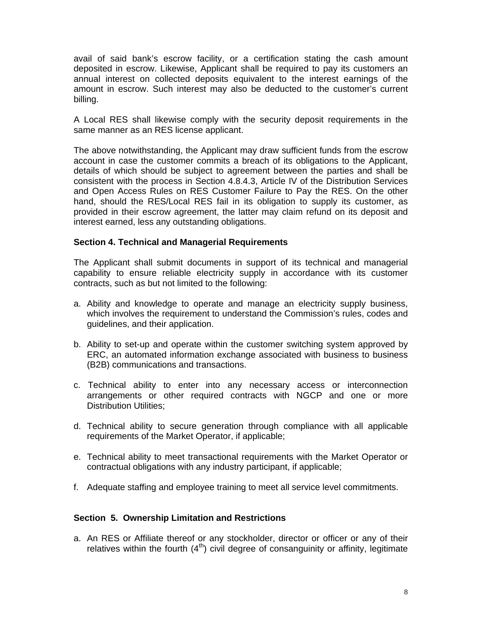avail of said bank's escrow facility, or a certification stating the cash amount deposited in escrow. Likewise, Applicant shall be required to pay its customers an annual interest on collected deposits equivalent to the interest earnings of the amount in escrow. Such interest may also be deducted to the customer's current billing.

A Local RES shall likewise comply with the security deposit requirements in the same manner as an RES license applicant.

The above notwithstanding, the Applicant may draw sufficient funds from the escrow account in case the customer commits a breach of its obligations to the Applicant, details of which should be subject to agreement between the parties and shall be consistent with the process in Section 4.8.4.3, Article IV of the Distribution Services and Open Access Rules on RES Customer Failure to Pay the RES. On the other hand, should the RES/Local RES fail in its obligation to supply its customer, as provided in their escrow agreement, the latter may claim refund on its deposit and interest earned, less any outstanding obligations.

## **Section 4. Technical and Managerial Requirements**

The Applicant shall submit documents in support of its technical and managerial capability to ensure reliable electricity supply in accordance with its customer contracts, such as but not limited to the following:

- a. Ability and knowledge to operate and manage an electricity supply business, which involves the requirement to understand the Commission's rules, codes and guidelines, and their application.
- b. Ability to set-up and operate within the customer switching system approved by ERC, an automated information exchange associated with business to business (B2B) communications and transactions.
- c. Technical ability to enter into any necessary access or interconnection arrangements or other required contracts with NGCP and one or more Distribution Utilities;
- d. Technical ability to secure generation through compliance with all applicable requirements of the Market Operator, if applicable;
- e. Technical ability to meet transactional requirements with the Market Operator or contractual obligations with any industry participant, if applicable;
- f. Adequate staffing and employee training to meet all service level commitments.

#### **Section 5. Ownership Limitation and Restrictions**

a. An RES or Affiliate thereof or any stockholder, director or officer or any of their relatives within the fourth  $(4<sup>th</sup>)$  civil degree of consanguinity or affinity, legitimate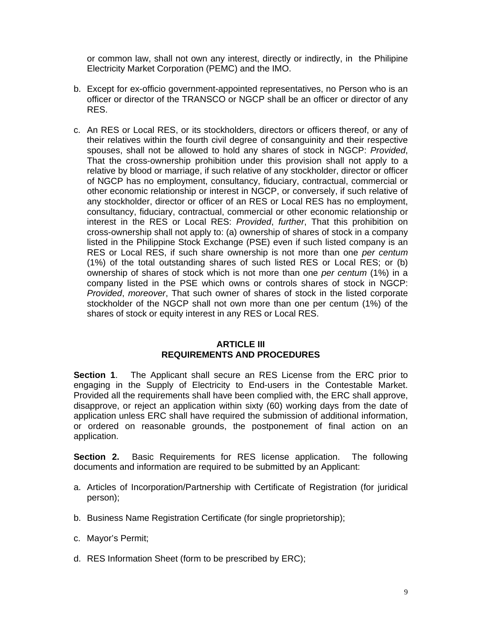or common law, shall not own any interest, directly or indirectly, in the Philipine Electricity Market Corporation (PEMC) and the IMO.

- b. Except for ex-officio government-appointed representatives, no Person who is an officer or director of the TRANSCO or NGCP shall be an officer or director of any RES.
- c. An RES or Local RES, or its stockholders, directors or officers thereof, or any of their relatives within the fourth civil degree of consanguinity and their respective spouses, shall not be allowed to hold any shares of stock in NGCP: *Provided*, That the cross-ownership prohibition under this provision shall not apply to a relative by blood or marriage, if such relative of any stockholder, director or officer of NGCP has no employment, consultancy, fiduciary, contractual, commercial or other economic relationship or interest in NGCP, or conversely, if such relative of any stockholder, director or officer of an RES or Local RES has no employment, consultancy, fiduciary, contractual, commercial or other economic relationship or interest in the RES or Local RES: *Provided*, *further*, That this prohibition on cross-ownership shall not apply to: (a) ownership of shares of stock in a company listed in the Philippine Stock Exchange (PSE) even if such listed company is an RES or Local RES, if such share ownership is not more than one *per centum* (1%) of the total outstanding shares of such listed RES or Local RES; or (b) ownership of shares of stock which is not more than one *per centum* (1%) in a company listed in the PSE which owns or controls shares of stock in NGCP: *Provided*, *moreover*, That such owner of shares of stock in the listed corporate stockholder of the NGCP shall not own more than one per centum (1%) of the shares of stock or equity interest in any RES or Local RES.

### **ARTICLE III REQUIREMENTS AND PROCEDURES**

**Section 1**. The Applicant shall secure an RES License from the ERC prior to engaging in the Supply of Electricity to End-users in the Contestable Market. Provided all the requirements shall have been complied with, the ERC shall approve, disapprove, or reject an application within sixty (60) working days from the date of application unless ERC shall have required the submission of additional information, or ordered on reasonable grounds, the postponement of final action on an application.

**Section 2.** Basic Requirements for RES license application. The following documents and information are required to be submitted by an Applicant:

- a. Articles of Incorporation/Partnership with Certificate of Registration (for juridical person);
- b. Business Name Registration Certificate (for single proprietorship);
- c. Mayor's Permit;
- d. RES Information Sheet (form to be prescribed by ERC);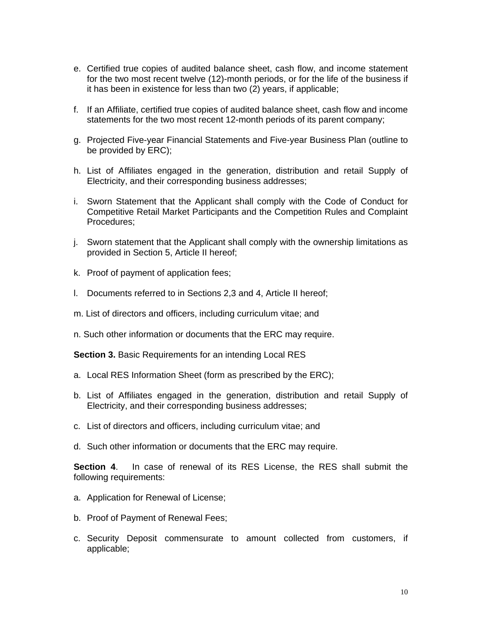- e. Certified true copies of audited balance sheet, cash flow, and income statement for the two most recent twelve (12)-month periods, or for the life of the business if it has been in existence for less than two (2) years, if applicable;
- f. If an Affiliate, certified true copies of audited balance sheet, cash flow and income statements for the two most recent 12-month periods of its parent company;
- g. Projected Five-year Financial Statements and Five-year Business Plan (outline to be provided by ERC);
- h. List of Affiliates engaged in the generation, distribution and retail Supply of Electricity, and their corresponding business addresses;
- i. Sworn Statement that the Applicant shall comply with the Code of Conduct for Competitive Retail Market Participants and the Competition Rules and Complaint Procedures;
- j. Sworn statement that the Applicant shall comply with the ownership limitations as provided in Section 5, Article II hereof;
- k. Proof of payment of application fees;
- l. Documents referred to in Sections 2,3 and 4, Article II hereof;
- m. List of directors and officers, including curriculum vitae; and
- n. Such other information or documents that the ERC may require.

**Section 3.** Basic Requirements for an intending Local RES

- a. Local RES Information Sheet (form as prescribed by the ERC);
- b. List of Affiliates engaged in the generation, distribution and retail Supply of Electricity, and their corresponding business addresses;
- c. List of directors and officers, including curriculum vitae; and
- d. Such other information or documents that the ERC may require.

**Section 4**. In case of renewal of its RES License, the RES shall submit the following requirements:

- a. Application for Renewal of License;
- b. Proof of Payment of Renewal Fees;
- c. Security Deposit commensurate to amount collected from customers, if applicable;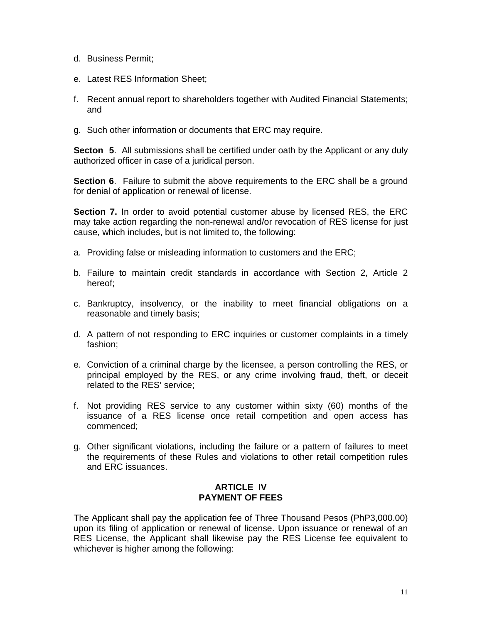- d. Business Permit;
- e. Latest RES Information Sheet;
- f. Recent annual report to shareholders together with Audited Financial Statements; and
- g. Such other information or documents that ERC may require.

**Secton 5**. All submissions shall be certified under oath by the Applicant or any duly authorized officer in case of a juridical person.

**Section 6**. Failure to submit the above requirements to the ERC shall be a ground for denial of application or renewal of license.

**Section 7.** In order to avoid potential customer abuse by licensed RES, the ERC may take action regarding the non-renewal and/or revocation of RES license for just cause, which includes, but is not limited to, the following:

- a. Providing false or misleading information to customers and the ERC;
- b. Failure to maintain credit standards in accordance with Section 2, Article 2 hereof;
- c. Bankruptcy, insolvency, or the inability to meet financial obligations on a reasonable and timely basis;
- d. A pattern of not responding to ERC inquiries or customer complaints in a timely fashion;
- e. Conviction of a criminal charge by the licensee, a person controlling the RES, or principal employed by the RES, or any crime involving fraud, theft, or deceit related to the RES' service;
- f. Not providing RES service to any customer within sixty (60) months of the issuance of a RES license once retail competition and open access has commenced;
- g. Other significant violations, including the failure or a pattern of failures to meet the requirements of these Rules and violations to other retail competition rules and ERC issuances.

# **ARTICLE IV PAYMENT OF FEES**

The Applicant shall pay the application fee of Three Thousand Pesos (PhP3,000.00) upon its filing of application or renewal of license. Upon issuance or renewal of an RES License, the Applicant shall likewise pay the RES License fee equivalent to whichever is higher among the following: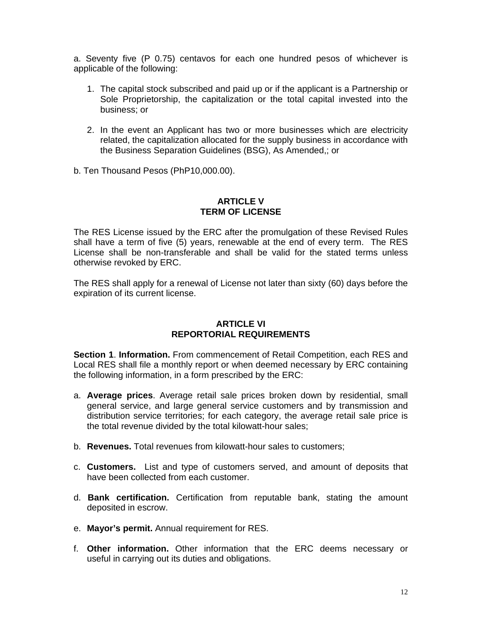a. Seventy five (P 0.75) centavos for each one hundred pesos of whichever is applicable of the following:

- 1. The capital stock subscribed and paid up or if the applicant is a Partnership or Sole Proprietorship, the capitalization or the total capital invested into the business; or
- 2. In the event an Applicant has two or more businesses which are electricity related, the capitalization allocated for the supply business in accordance with the Business Separation Guidelines (BSG), As Amended,; or
- b. Ten Thousand Pesos (PhP10,000.00).

## **ARTICLE V TERM OF LICENSE**

The RES License issued by the ERC after the promulgation of these Revised Rules shall have a term of five (5) years, renewable at the end of every term. The RES License shall be non-transferable and shall be valid for the stated terms unless otherwise revoked by ERC.

The RES shall apply for a renewal of License not later than sixty (60) days before the expiration of its current license.

## **ARTICLE VI REPORTORIAL REQUIREMENTS**

**Section 1**. **Information.** From commencement of Retail Competition, each RES and Local RES shall file a monthly report or when deemed necessary by ERC containing the following information, in a form prescribed by the ERC:

- a. **Average prices**. Average retail sale prices broken down by residential, small general service, and large general service customers and by transmission and distribution service territories; for each category, the average retail sale price is the total revenue divided by the total kilowatt-hour sales;
- b. **Revenues.** Total revenues from kilowatt-hour sales to customers;
- c. **Customers.** List and type of customers served, and amount of deposits that have been collected from each customer.
- d. **Bank certification.** Certification from reputable bank, stating the amount deposited in escrow.
- e. **Mayor's permit.** Annual requirement for RES.
- f. **Other information.** Other information that the ERC deems necessary or useful in carrying out its duties and obligations.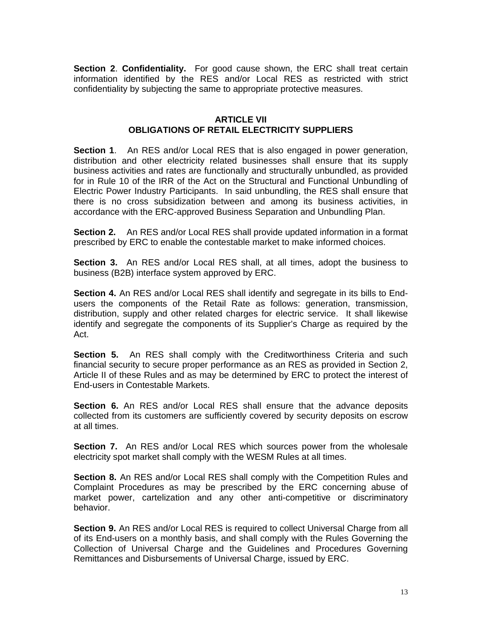**Section 2**. **Confidentiality.** For good cause shown, the ERC shall treat certain information identified by the RES and/or Local RES as restricted with strict confidentiality by subjecting the same to appropriate protective measures.

### **ARTICLE VII OBLIGATIONS OF RETAIL ELECTRICITY SUPPLIERS**

**Section 1**. An RES and/or Local RES that is also engaged in power generation, distribution and other electricity related businesses shall ensure that its supply business activities and rates are functionally and structurally unbundled, as provided for in Rule 10 of the IRR of the Act on the Structural and Functional Unbundling of Electric Power Industry Participants. In said unbundling, the RES shall ensure that there is no cross subsidization between and among its business activities, in accordance with the ERC-approved Business Separation and Unbundling Plan.

**Section 2.** An RES and/or Local RES shall provide updated information in a format prescribed by ERC to enable the contestable market to make informed choices.

**Section 3.** An RES and/or Local RES shall, at all times, adopt the business to business (B2B) interface system approved by ERC.

**Section 4.** An RES and/or Local RES shall identify and segregate in its bills to Endusers the components of the Retail Rate as follows: generation, transmission, distribution, supply and other related charges for electric service. It shall likewise identify and segregate the components of its Supplier's Charge as required by the Act.

**Section 5.** An RES shall comply with the Creditworthiness Criteria and such financial security to secure proper performance as an RES as provided in Section 2, Article II of these Rules and as may be determined by ERC to protect the interest of End-users in Contestable Markets.

**Section 6.** An RES and/or Local RES shall ensure that the advance deposits collected from its customers are sufficiently covered by security deposits on escrow at all times.

**Section 7.** An RES and/or Local RES which sources power from the wholesale electricity spot market shall comply with the WESM Rules at all times.

**Section 8.** An RES and/or Local RES shall comply with the Competition Rules and Complaint Procedures as may be prescribed by the ERC concerning abuse of market power, cartelization and any other anti-competitive or discriminatory behavior.

**Section 9.** An RES and/or Local RES is required to collect Universal Charge from all of its End-users on a monthly basis, and shall comply with the Rules Governing the Collection of Universal Charge and the Guidelines and Procedures Governing Remittances and Disbursements of Universal Charge, issued by ERC.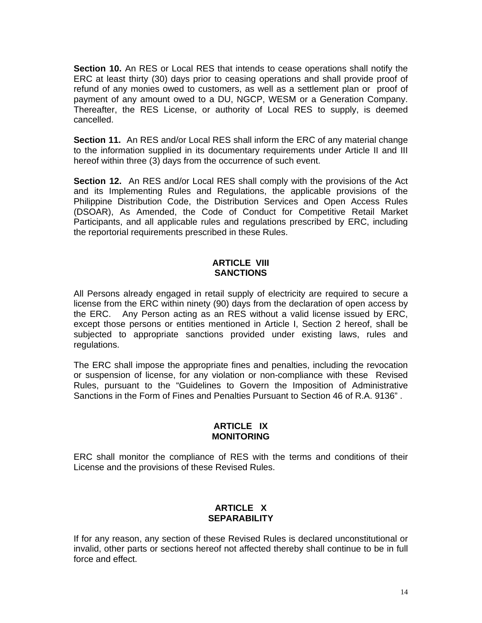**Section 10.** An RES or Local RES that intends to cease operations shall notify the ERC at least thirty (30) days prior to ceasing operations and shall provide proof of refund of any monies owed to customers, as well as a settlement plan or proof of payment of any amount owed to a DU, NGCP, WESM or a Generation Company. Thereafter, the RES License, or authority of Local RES to supply, is deemed cancelled.

**Section 11.** An RES and/or Local RES shall inform the ERC of any material change to the information supplied in its documentary requirements under Article II and III hereof within three (3) days from the occurrence of such event.

**Section 12.** An RES and/or Local RES shall comply with the provisions of the Act and its Implementing Rules and Regulations, the applicable provisions of the Philippine Distribution Code, the Distribution Services and Open Access Rules (DSOAR), As Amended, the Code of Conduct for Competitive Retail Market Participants, and all applicable rules and regulations prescribed by ERC, including the reportorial requirements prescribed in these Rules.

## **ARTICLE VIII SANCTIONS**

All Persons already engaged in retail supply of electricity are required to secure a license from the ERC within ninety (90) days from the declaration of open access by the ERC. Any Person acting as an RES without a valid license issued by ERC, except those persons or entities mentioned in Article I, Section 2 hereof, shall be subjected to appropriate sanctions provided under existing laws, rules and regulations.

The ERC shall impose the appropriate fines and penalties, including the revocation or suspension of license, for any violation or non-compliance with these Revised Rules, pursuant to the "Guidelines to Govern the Imposition of Administrative Sanctions in the Form of Fines and Penalties Pursuant to Section 46 of R.A. 9136" .

### **ARTICLE IX MONITORING**

ERC shall monitor the compliance of RES with the terms and conditions of their License and the provisions of these Revised Rules.

# **ARTICLE X SEPARABILITY**

If for any reason, any section of these Revised Rules is declared unconstitutional or invalid, other parts or sections hereof not affected thereby shall continue to be in full force and effect.